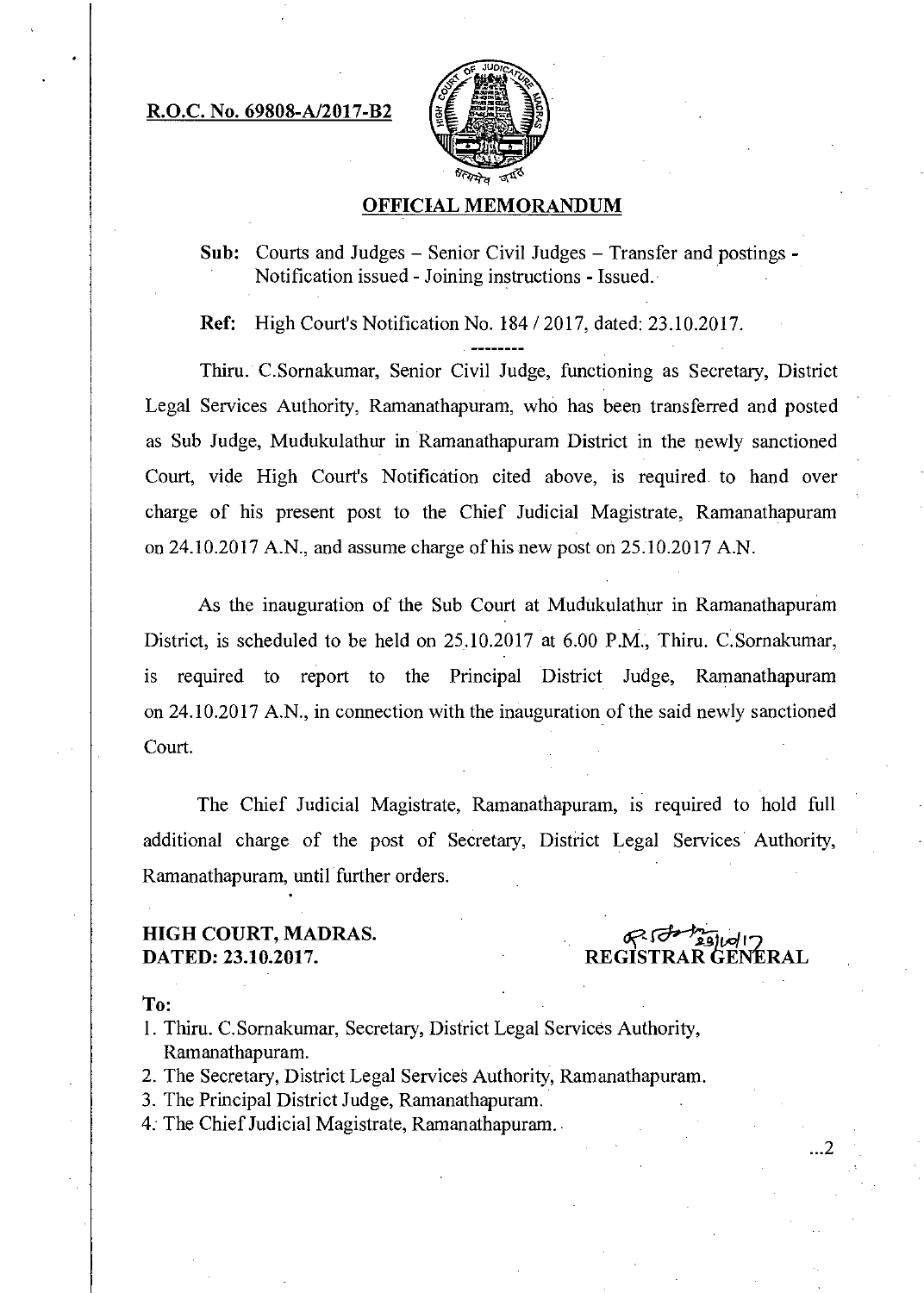R.O.C. No. 69808-A/2017-B2



#### OFFICIAL MEMORANDUM

**Sub:** Courts and Judges  $-$  Senior Civil Judges  $-$  Transfer and postings  $\cdot$ Notification issued - Joining instructions - Issued.

Ref: High Court's Notification No. 184 /2017, dated: 23.10.2017.

Thiru. C.Sornakumar, Senior Civil Judge, functioning as Secretary, District Legal Services Authority, Ramanathapuram, who has been transferred and posted as Sub Judge, Mudukulathur in Ramanathapuram District in the newly sanctioned Court, vide High Court's Notification cited above, is required to hand over charge of his present post to the Chief Judicial Magistrate, Ramanathapuram on 24.10.2017 A.N., and assume charge of his new post on 25.10.2017 A.N.

As the inauguration of the Sub Court at Mudukulathur in Ramanathapuram District, is scheduled to be held on 25.10.2017 at 6.00 P.M., Thiru. C.Sornakumar, is required to report to the Principal District Judge, Ramanathapuram on 24.10.2017 A.N., in connection with the inauguration of the said newly sanctioned Court.

The Chief Judicial Magistrate, Ramanathapuram, is required to hold full additional charge of the post of Secretary, District Legal Services Authority, Ramanathapuram, until further orders.

### HIGH COURT, MADRAS. DATED: 23.10.2017.

REGISTRAR GENERAL

To:

- 1. Thiru. C.Sornakumar, Secretary, District Legal Services Authority, Ramanathapuram.
- 2. The Secretary, District Legal Services Authority, Ramanathapuram.
- 3. The Principal District Judge, Ramanathapuram.
- 4. The Chief Judicial Magistrate, Ramanathapuram.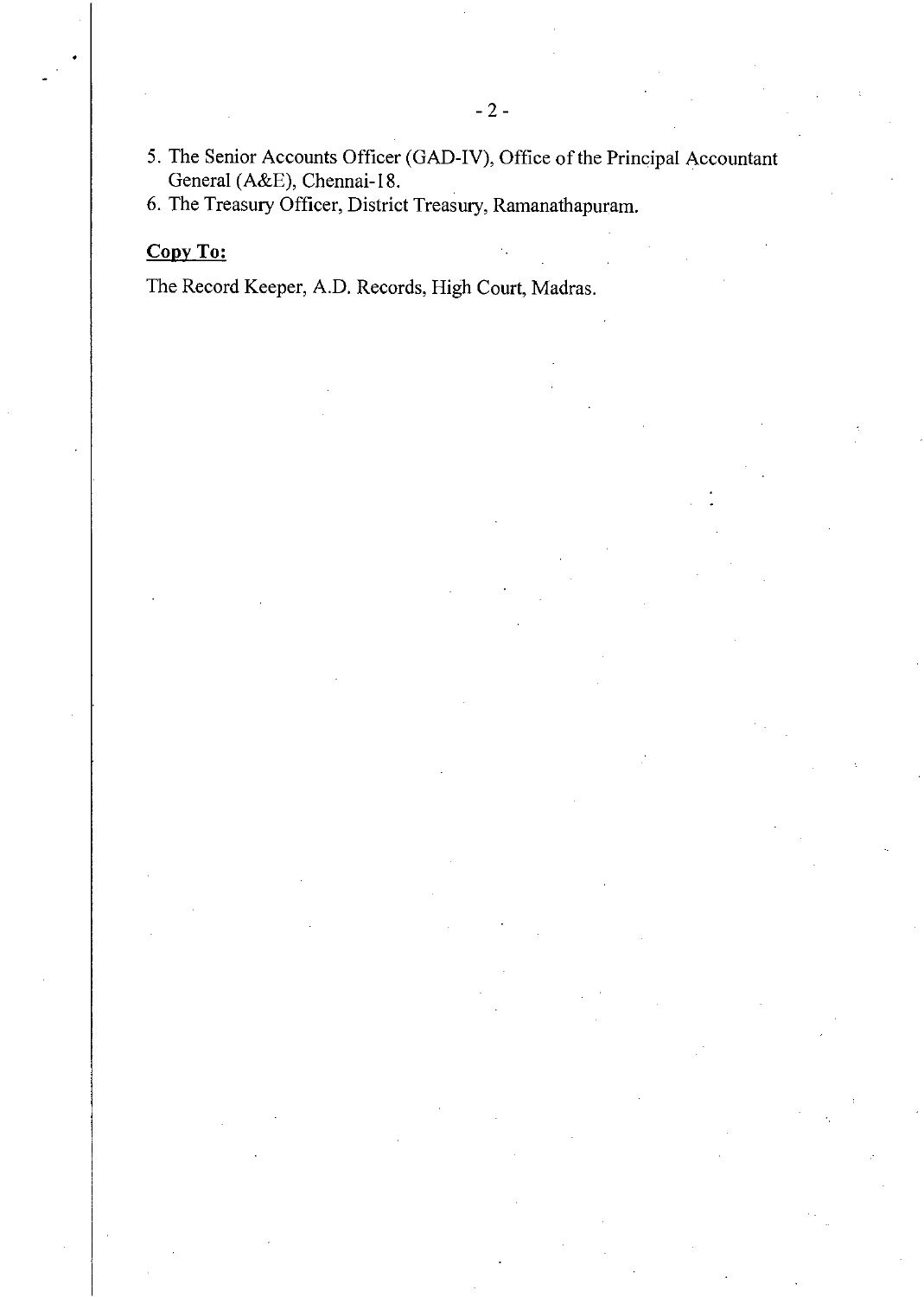- 5. The Senior Accounts Officer (GAD-IV), Office of the Principal Accountant General (A&E), Chennai-18.
- 6. The Treasury Officer, District Treasury, Ramanathapuram.

# Copy To:

The Record Keeper, A.D. Records, High Court, Madras.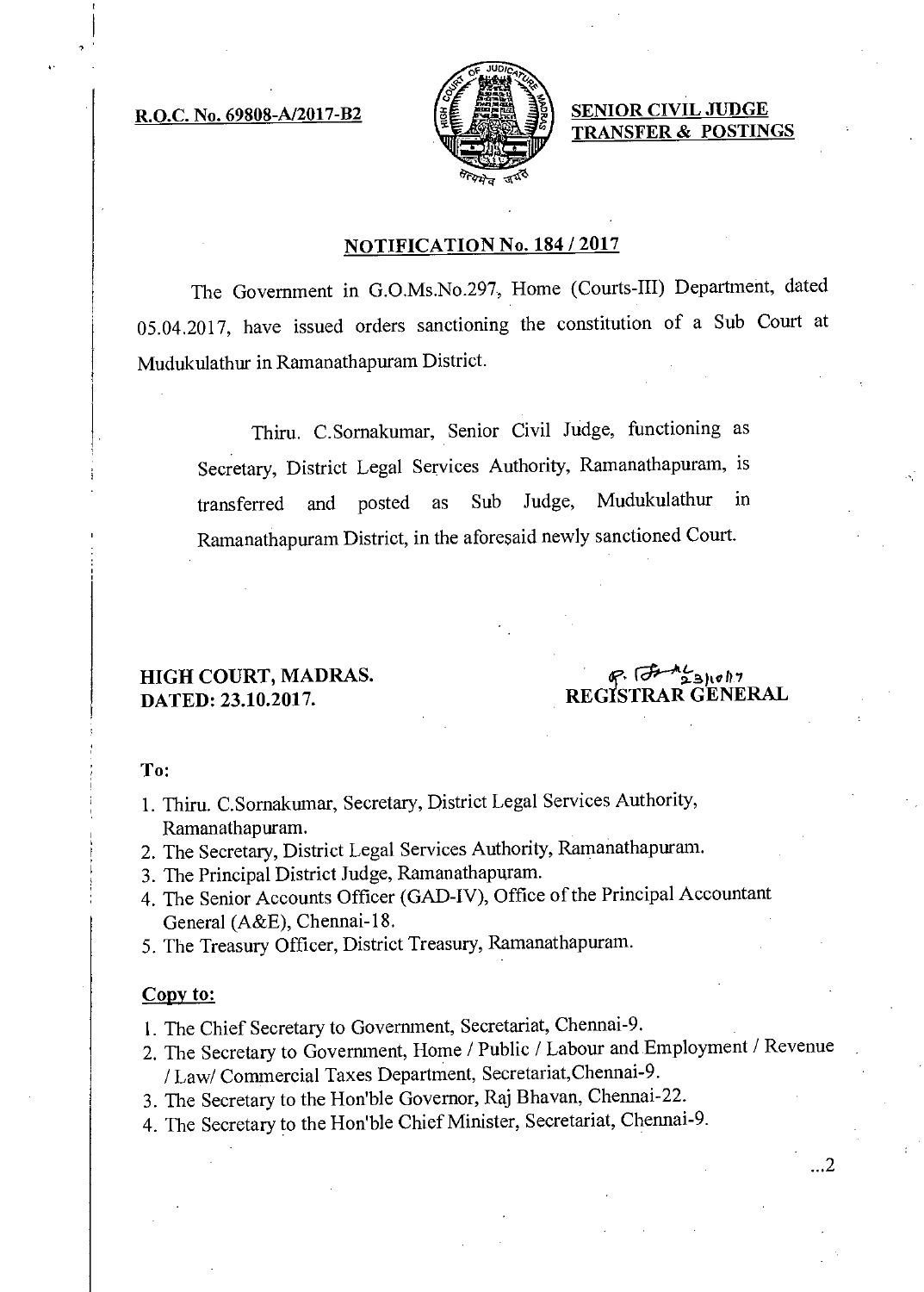

R.O.C. No. 69808-A/2017-B2  $\left[\begin{matrix} \frac{1}{2} & \frac{1}{2} \\ \frac{1}{2} & \frac{1}{2} \end{matrix}\right]$  SENIOR CIVIL JUDGE TRANSFER & POSTINGS

## NOTIFICATION No. 184 / 2017

The Government in G.O.Ms.No.297, Home (Courts-III) Department, dated 05.04.2017, have issued orders sanctioning the constitution of a Sub Court at Mudukulathur in Ramanathapuram District.

Thiru. C.Sornakumar, Senior Civil Judge, functioning as Secretary, District Legal Services Authority, Ramanathapuram, is transferred and posted as Sub Judge, Mudukulathur in Ramanathapuram District, in the aforesaid newly sanctioned Court.

# HIGH COURT, MADRAS. DATED: 23.10.2017.

 $8.7$   $3.10h$ REGISTRAR GENERAL

 $\cdot$  2

To:

- 1. Thiru. C.Sornakumar, Secretary, District Legal Services Authority, Ramanathapuram.
- 2. The Secretary, District Legal Services Authority, Ramanathapuram.
- 3. The Principal District Judge, Ramanathapuram.
- 4. The Senior Accounts Officer (GAD-IV), Office of the Principal Accountant General (A&E), Chennai-18.
- 5. The Treasury Officer, District Treasury, Ramanathapuram.

#### Copy to:

- 1. The Chief Secretary to Government, Secretariat, Chennai-9.
- 2. The Secretary to Government, Home / Public / Labour and Employment / Revenue / Law/ Commercial Taxes Department, Secretariat,Chennai-9.
- 3. The Secretary to the Hon'ble Governor, Raj Bhavan, Chennai-22.
- 4. The Secretary to the Hon'ble Chief Minister, Secretariat, Chennai-9.